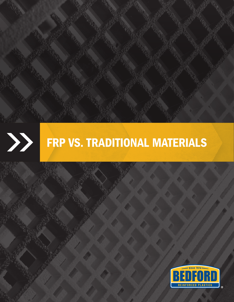

# FRP VS. TRADITIONAL MATERIALS

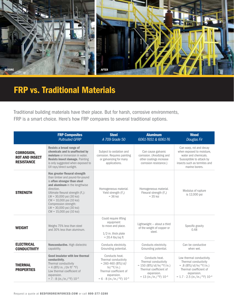

## FRP vs. Traditional Materials

Traditional building materials have their place. But for harsh, corrosive environments, FRP is a smart choice. Here's how FRP compares to several traditional options.

|                                                                 | <b>FRP Composites</b><br><b>Pultruded GFRP</b>                                                                                                                                                                                                                                                                                    | <b>Steel</b><br>A 709 Grade 50                                                                                                                             | <b>Aluminum</b><br>6061-T651 & 6061-T6                                                                                                                  | <b>Wood</b><br>Douglas Fir                                                                                                                                                      |
|-----------------------------------------------------------------|-----------------------------------------------------------------------------------------------------------------------------------------------------------------------------------------------------------------------------------------------------------------------------------------------------------------------------------|------------------------------------------------------------------------------------------------------------------------------------------------------------|---------------------------------------------------------------------------------------------------------------------------------------------------------|---------------------------------------------------------------------------------------------------------------------------------------------------------------------------------|
| <b>CORROSION,</b><br><b>ROT AND INSECT</b><br><b>RESISTANCE</b> | Resists a broad range of<br>chemicals and is unaffected by<br>moisture or immersion in water.<br><b>Resists insect damage. Painting</b><br>is only suggested when exposed to<br>UV rays/direct sunlight.                                                                                                                          | Subject to oxidation and<br>corrosion. Requires painting<br>or galvanizing for many<br>applications.                                                       | Can cause galvanic<br>corrosion. (Anodizing and<br>other coatings increase<br>corrosion resistance.)                                                    | Can warp, rot and decay<br>when exposed to moisture,<br>water and chemicals.<br>Susceptible to attack by<br>insects such as termites and<br>marine borers.                      |
| <b>STRENGTH</b>                                                 | Has greater flexural strength<br>than timber and pound-for-pound<br>is often stronger than steel<br>and aluminum in the lengthwise<br>direction.<br>Ultimate flexural strength (Fu):<br>$LW = 30,000$ psi (30 ksi)<br>CW = 10,000 psi (10 ksi)<br>Compression strength:<br>LW = 30,000 psi (30 ksi)<br>$CW = 15,000$ psi (10 ksi) | Homogeneous material.<br>Yield strength $(F_v)$<br>$=$ 36 ksi                                                                                              | Homogeneous material.<br>Flexural strength (Fu)<br>$=$ 35 ksi                                                                                           | Modulus of rupture<br>is 12,000 psi                                                                                                                                             |
| <b>WEIGHT</b>                                                   | Could require lifting<br>equipment<br>Weighs 75% less than steel<br>to move and place.<br>and 30% less than aluminum.<br>$1/2$ -in. thick plate<br>$= 20.4$ lbs/sq ft                                                                                                                                                             |                                                                                                                                                            | Lightweight - about a third<br>of the weight of copper or<br>steel.                                                                                     | Specific gravity<br>0.48                                                                                                                                                        |
| <b>ELECTRICAL</b><br><b>CONDUCTIVITY</b>                        | Nonconductive. High dielectric<br>capability.                                                                                                                                                                                                                                                                                     | Conducts electricity.<br>Grounding potential.                                                                                                              | Conducts electricity.<br>Grounding potential.                                                                                                           | Can be conductive<br>when wet.                                                                                                                                                  |
| <b>THERMAL</b><br><b>PROPERTIES</b>                             | Good insulator with low thermal<br>conductivity.<br>Thermal conductivity<br>$= 4$ (BTU in. /(hr ft <sup>2</sup> °F)<br>Low thermal coefficient of<br>expansion.<br>$= 7 - 8$ (in./in./°F) $10^{-6}$                                                                                                                               | Conducts heat.<br>Thermal conductivity<br>$= 260 - 460$ (BTU/sf/<br>hr/°F/in.)<br>Thermal coefficient of<br>expansion.<br>$= 6 - 8$ (in./in./°F) $10^{-6}$ | Conducts heat.<br>Thermal conductivity<br>$= 150$ (BTU/sf/hr/ $\degree$ F/in.)<br>Thermal coefficient of<br>expansion.<br>$= 13$ (in./in./°F) $10^{-6}$ | Low thermal conductivity.<br>Thermal conductivity<br>$= .8$ (BTU/sf/hr/ $\degree$ F/in.)<br>Thermal coefficient of<br>expansion.<br>$= 1.7 - 2.5$ (in./in./°F) 10 <sup>-6</sup> |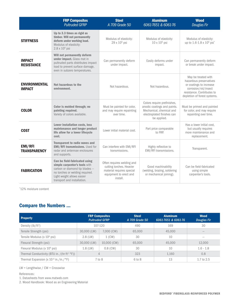| <b>FRP Composites</b><br><b>Pultruded GFRP</b> |                                                                                                                                                                                                  | <b>Steel</b><br>A 709 Grade 50                                                                                            | <b>Aluminum</b><br>6061-7651 & 6061-76                                                                                              | <b>Wood</b><br>Douglas Fir                                                                                                                                      |  |
|------------------------------------------------|--------------------------------------------------------------------------------------------------------------------------------------------------------------------------------------------------|---------------------------------------------------------------------------------------------------------------------------|-------------------------------------------------------------------------------------------------------------------------------------|-----------------------------------------------------------------------------------------------------------------------------------------------------------------|--|
| <b>STIFFNESS</b>                               | Up to 3.3 times as rigid as<br>timber. Will not permanently<br>deform under working load.<br>Modulus of elasticity:<br>$2.8 \times 10^6$ psi                                                     | Modulus of elasticity:<br>29 x 10 <sup>6</sup> psi                                                                        | Modulus of elasticity:<br>$10 \times 10^6$ psi                                                                                      | Modulus of elasticity:<br>up to 1.6-1.8 x 10 <sup>6</sup> psi <sup>*</sup>                                                                                      |  |
| <b>IMPACT</b><br><b>RESISTANCE</b>             | Will not permanently deform<br>under impact. Glass mat in<br>pultruded parts distributes impact<br>load to prevent surface damage,<br>even in subzero temperatures.                              | Can permanently deform<br>Easily deforms under<br>under impact.<br>impact.                                                |                                                                                                                                     | Can permanently deform<br>or break under impact.                                                                                                                |  |
| <b>ENVIRONMENTAL</b><br><b>IMPACT</b>          | Not hazardous to the<br>environment.                                                                                                                                                             | Not hazardous.<br>Not hazardous.                                                                                          |                                                                                                                                     | May be treated with<br>hazardous preservatives<br>or coatings to increase<br>corrosion/rot/insect<br>resistance. Contributes to<br>depletion of forest systems. |  |
| <b>COLOR</b>                                   | Color is molded through; no<br>painting required.<br>Variety of colors available.                                                                                                                | Must be painted for color,<br>and may require repainting<br>over time.                                                    | Colors require prefinishes,<br>anodic coatings and paints.<br>Mechanical, chemical and<br>electroplated finishes can<br>be applied. | Must be primed and painted<br>for color, and may require<br>repainting over time.                                                                               |  |
| <b>COST</b>                                    | <b>Lower installation costs, less</b><br>maintenance and longer product<br>life allow for a lower lifecycle<br>cost.                                                                             | Lower initial material cost.                                                                                              | Part price comparable<br>to FRP.                                                                                                    | Has a lower initial cost.<br>but usually requires<br>more maintenance and<br>replacement.                                                                       |  |
| <b>EMI/RFI</b><br><b>TRANSPARENCY</b>          | <b>Transparent to radio waves and</b><br><b>EMI/RFI transmissions.</b> Used for<br>radar and antennae enclosures<br>and supports.                                                                | Can interfere with EMI/RFI<br>transmissions.                                                                              | Highly reflective to<br>EMI/RFI transmissions.                                                                                      | Transparent.                                                                                                                                                    |  |
| <b>FABRICATION</b>                             | Can be field-fabricated using<br>simple carpenter's tools with<br>carbon or diamond tip blades -<br>no torches or welding required.<br>Light weight allows easier<br>transport and installation. | Often requires welding and<br>cutting torches. Heavier<br>material requires special<br>equipment to erect and<br>install. | Good machinability<br>(welding, brazing, soldering<br>or mechanical joining).                                                       | Can be field-fabricated<br>using simple<br>carpenter's tools.                                                                                                   |  |

\*12% moisture content

### Compare the Numbers ...

| <b>Property</b>                                                       | <b>FRP Composites</b><br><b>Pultruded GFRP</b> |             | <b>Steel</b><br>A 709 Grade 50 | <b>Aluminum</b><br>6061-7651 & 6061-76 | <b>Wood</b><br>Douglas Fir |
|-----------------------------------------------------------------------|------------------------------------------------|-------------|--------------------------------|----------------------------------------|----------------------------|
| Density $(lb/ft^3)$                                                   | 107-120                                        |             | 490                            | 169                                    | 30                         |
| Tensile Strength (psi)                                                | 30,000 (LW)                                    | 7,000 (CW)  | 65,000                         | 45,000                                 | $-$                        |
| Tensile Modulus (x 10 <sup>6</sup> psi)                               | $2.8$ (LW)                                     | 1 (CW)      | 30                             | 10                                     |                            |
| Flexural Strength (psi)                                               | 30,000 (LW)                                    | 10,000 (CW) | 65,000                         | 45,000                                 | 12,000                     |
| Flexural Modulus (x 10 <sup>6</sup> psi)                              | $1.8$ (LW)                                     | $0.8$ (CW)  | 30                             | 10                                     | $1.6 - 1.8$                |
| Thermal Conductivity (BTU in. /(hr ft <sup>2</sup> $\degree$ F))<br>4 |                                                |             | 323                            | 1.160                                  | 0.8                        |
| Thermal Expansion (x $10^{-6}$ in./in./ $^{\circ}$ F)<br>7 to 8       |                                                |             | 6 to 8                         | 13                                     | 1.7 to 2.5                 |

LW = Lengthwise / CW = Crosswise

References:

1. Datasheets from www.matweb.com

2. Wood Handbook: Wood as an Engineering Material